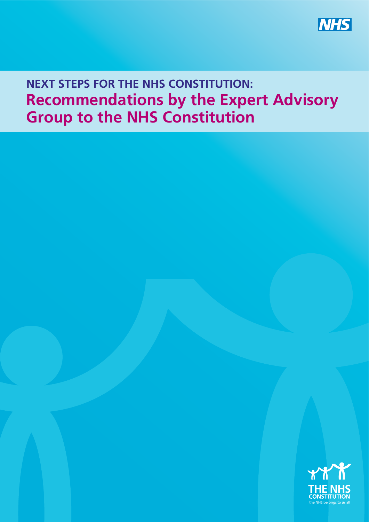**NHS** 

#### **NEXT STEPS FOR THE NHS CONSTITUTION: Recommendations by the Expert Advisory Group to the NHS Constitution**

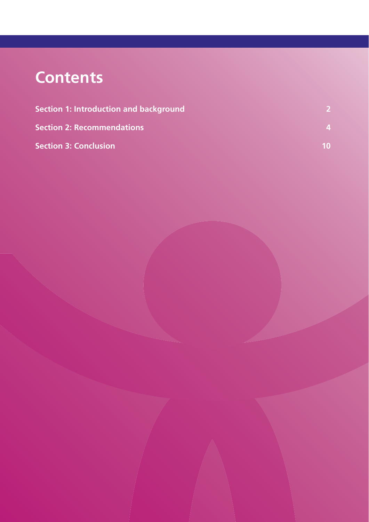# **Contents**

| <b>Section 1: Introduction and background</b><br><b>Section 2: Recommendations</b><br><b>Section 3: Conclusion</b> | 10 <sup>°</sup> |
|--------------------------------------------------------------------------------------------------------------------|-----------------|
|--------------------------------------------------------------------------------------------------------------------|-----------------|

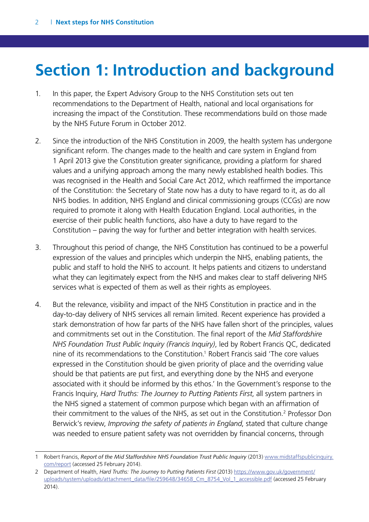## <span id="page-2-0"></span>**Section 1: Introduction and background**

- 1. In this paper, the Expert Advisory Group to the NHS Constitution sets out ten recommendations to the Department of Health, national and local organisations for increasing the impact of the Constitution. These recommendations build on those made by the NHS Future Forum in October 2012.
- 2. Since the introduction of the NHS Constitution in 2009, the health system has undergone significant reform. The changes made to the health and care system in England from 1 April 2013 give the Constitution greater significance, providing a platform for shared values and a unifying approach among the many newly established health bodies. This was recognised in the Health and Social Care Act 2012, which reaffirmed the importance of the Constitution: the Secretary of State now has a duty to have regard to it, as do all NHS bodies. In addition, NHS England and clinical commissioning groups (CCGs) are now required to promote it along with Health Education England. Local authorities, in the exercise of their public health functions, also have a duty to have regard to the Constitution – paving the way for further and better integration with health services.
- 3. Throughout this period of change, the NHS Constitution has continued to be a powerful expression of the values and principles which underpin the NHS, enabling patients, the public and staff to hold the NHS to account. It helps patients and citizens to understand what they can legitimately expect from the NHS and makes clear to staff delivering NHS services what is expected of them as well as their rights as employees.
- 4. But the relevance, visibility and impact of the NHS Constitution in practice and in the day-to-day delivery of NHS services all remain limited. Recent experience has provided a stark demonstration of how far parts of the NHS have fallen short of the principles, values and commitments set out in the Constitution. The final report of the *Mid Staffordshire NHS Foundation Trust Public Inquiry (Francis Inquiry)*, led by Robert Francis QC, dedicated nine of its recommendations to the Constitution.<sup>1</sup> Robert Francis said 'The core values expressed in the Constitution should be given priority of place and the overriding value should be that patients are put first, and everything done by the NHS and everyone associated with it should be informed by this ethos.' In the Government's response to the Francis Inquiry, *Hard Truths: The Journey to Putting Patients First*, all system partners in the NHS signed a statement of common purpose which began with an affirmation of their commitment to the values of the NHS, as set out in the Constitution.<sup>2</sup> Professor Don Berwick's review, *Improving the safety of patients in England*, stated that culture change was needed to ensure patient safety was not overridden by financial concerns, through

<sup>1</sup> Robert Francis, *Report of the Mid Staffordshire NHS Foundation Trust Public Inquiry* (2013) [www.midstaffspublicinquiry.](http://www.midstaffspublicinquiry.com/report) [com/report](http://www.midstaffspublicinquiry.com/report) (accessed 25 February 2014).

<sup>2</sup> Department of Health, *Hard Truths: The Journey to Putting Patients First* (2013) [https://www.gov.uk/government/](https://www.gov.uk/government/uploads/system/uploads/attachment_data/file/259648/34658_Cm_8754_Vol_1_accessible.pdf) [uploads/system/uploads/attachment\\_data/file/259648/34658\\_Cm\\_8754\\_Vol\\_1\\_accessible.pdf](https://www.gov.uk/government/uploads/system/uploads/attachment_data/file/259648/34658_Cm_8754_Vol_1_accessible.pdf) (accessed 25 February 2014).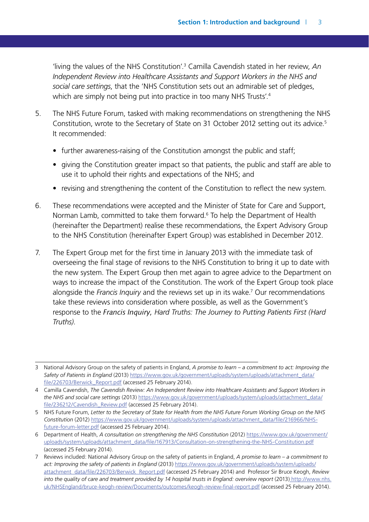'living the values of the NHS Constitution'.3 Camilla Cavendish stated in her review, *An Independent Review into Healthcare Assistants and Support Workers in the NHS and social care settings*, that the 'NHS Constitution sets out an admirable set of pledges, which are simply not being put into practice in too many NHS Trusts'.<sup>4</sup>

- 5. The NHS Future Forum, tasked with making recommendations on strengthening the NHS Constitution, wrote to the Secretary of State on 31 October 2012 setting out its advice.<sup>5</sup> It recommended:
	- further awareness-raising of the Constitution amongst the public and staff;
	- giving the Constitution greater impact so that patients, the public and staff are able to use it to uphold their rights and expectations of the NHS; and
	- revising and strengthening the content of the Constitution to reflect the new system.
- 6. These recommendations were accepted and the Minister of State for Care and Support, Norman Lamb, committed to take them forward.<sup>6</sup> To help the Department of Health (hereinafter the Department) realise these recommendations, the Expert Advisory Group to the NHS Constitution (hereinafter Expert Group) was established in December 2012.
- 7. The Expert Group met for the first time in January 2013 with the immediate task of overseeing the final stage of revisions to the NHS Constitution to bring it up to date with the new system. The Expert Group then met again to agree advice to the Department on ways to increase the impact of the Constitution. The work of the Expert Group took place alongside the *Francis Inquiry* and the reviews set up in its wake.7 Our recommendations take these reviews into consideration where possible, as well as the Government's response to the *Francis Inquiry, Hard Truths: The Journey to Putting Patients First (Hard Truths)*.

<sup>3</sup> National Advisory Group on the safety of patients in England, *A promise to learn – a commitment to act: Improving the*  Safety of Patients in England (2013) [https://www.gov.uk/government/uploads/system/uploads/attachment\\_data/](https://www.gov.uk/government/uploads/system/uploads/attachment_data/file/226703/Berwick_Report.pdf) [file/226703/Berwick\\_Report.pdf](https://www.gov.uk/government/uploads/system/uploads/attachment_data/file/226703/Berwick_Report.pdf) (accessed 25 February 2014).

<sup>4</sup> Camilla Cavendish, *The Cavendish Review: An Independent Review into Healthcare Assistants and Support Workers in the NHS and social care settings* (2013) [https://www.gov.uk/government/uploads/system/uploads/attachment\\_data/](https://www.gov.uk/government/uploads/system/uploads/attachment_data/file/236212/Cavendish_Review.pdf) [file/236212/Cavendish\\_Review.pdf](https://www.gov.uk/government/uploads/system/uploads/attachment_data/file/236212/Cavendish_Review.pdf) (accessed 25 February 2014).

<sup>5</sup> NHS Future Forum, *Letter to the Secretary of State for Health from the NHS Future Forum Working Group on the NHS Constitution* (2012) [https://www.gov.uk/government/uploads/system/uploads/attachment\\_data/file/216966/NHS](https://www.gov.uk/government/uploads/system/uploads/attachment_data/file/216966/NHS-future-forum-letter.pdf)[future-forum-letter.pdf](https://www.gov.uk/government/uploads/system/uploads/attachment_data/file/216966/NHS-future-forum-letter.pdf) (accessed 25 February 2014).

<sup>6</sup> Department of Health, *A consultation on strengthening the NHS Constitution* (2012) [https://www.gov.uk/government/](https://www.gov.uk/government/uploads/system/uploads/attachment_data/file/167913/Consultation-on-strengthening-the-NHS-Constitution.pdf) [uploads/system/uploads/attachment\\_data/file/167913/Consultation-on-strengthening-the-NHS-Constitution.pdf](https://www.gov.uk/government/uploads/system/uploads/attachment_data/file/167913/Consultation-on-strengthening-the-NHS-Constitution.pdf) (accessed 25 February 2014).

<sup>7</sup> Reviews included: National Advisory Group on the safety of patients in England, *A promise to learn – a commitment to act: Improving the safety of patients in England* (2013) https://www.gov.uk/government/uploads/system/uploads/ [attachment\\_data/file/226703/Berwick\\_Report.pdf \(accessed 25 February 2014\) and Professor Sir Bruce Keogh,](https://www.gov.uk/government/uploads/system/uploads/attachment_data/file/226703/Berwick_Report.pdf) *Review into the quality of care and treatment provided by 14 hospital trusts in England: overview report* (2013) http://www.nhs. [uk/NHSEngland/bruce-keogh-review/Documents/outcomes/keogh-review-final-report.pdf \(accessed 25 February 2014\).](http://www.nhs.uk/NHSEngland/bruce-keogh-review/Documents/outcomes/keogh-review-final-report.pdf)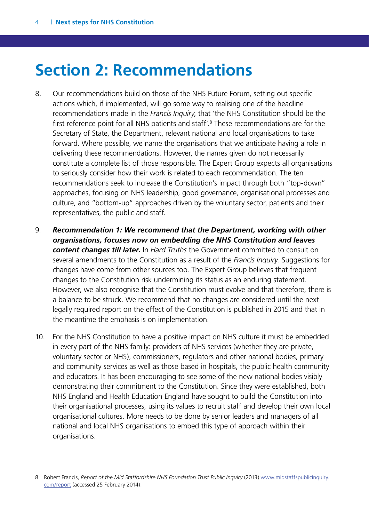### <span id="page-4-0"></span>**Section 2: Recommendations**

- 8. Our recommendations build on those of the NHS Future Forum, setting out specific actions which, if implemented, will go some way to realising one of the headline recommendations made in the *Francis Inquiry*, that 'the NHS Constitution should be the first reference point for all NHS patients and staff'.8 These recommendations are for the Secretary of State, the Department, relevant national and local organisations to take forward. Where possible, we name the organisations that we anticipate having a role in delivering these recommendations. However, the names given do not necessarily constitute a complete list of those responsible. The Expert Group expects all organisations to seriously consider how their work is related to each recommendation. The ten recommendations seek to increase the Constitution's impact through both "top-down" approaches, focusing on NHS leadership, good governance, organisational processes and culture, and "bottom-up" approaches driven by the voluntary sector, patients and their representatives, the public and staff.
- 9. *Recommendation 1: We recommend that the Department, working with other organisations, focuses now on embedding the NHS Constitution and leaves content changes till later.* In *Hard Truths* the Government committed to consult on several amendments to the Constitution as a result of the *Francis Inquiry.* Suggestions for changes have come from other sources too. The Expert Group believes that frequent changes to the Constitution risk undermining its status as an enduring statement. However, we also recognise that the Constitution must evolve and that therefore, there is a balance to be struck. We recommend that no changes are considered until the next legally required report on the effect of the Constitution is published in 2015 and that in the meantime the emphasis is on implementation.
- 10. For the NHS Constitution to have a positive impact on NHS culture it must be embedded in every part of the NHS family: providers of NHS services (whether they are private, voluntary sector or NHS), commissioners, regulators and other national bodies, primary and community services as well as those based in hospitals, the public health community and educators. It has been encouraging to see some of the new national bodies visibly demonstrating their commitment to the Constitution. Since they were established, both NHS England and Health Education England have sought to build the Constitution into their organisational processes, using its values to recruit staff and develop their own local organisational cultures. More needs to be done by senior leaders and managers of all national and local NHS organisations to embed this type of approach within their organisations.

<sup>8</sup> Robert Francis, *[Report of the Mid Staffordshire NHS Foundation Trust Public Inquiry](www.midstaffspublicinquiry.com/report)* (2013) www.midstaffspublicinquiry. com/report (accessed 25 February 2014).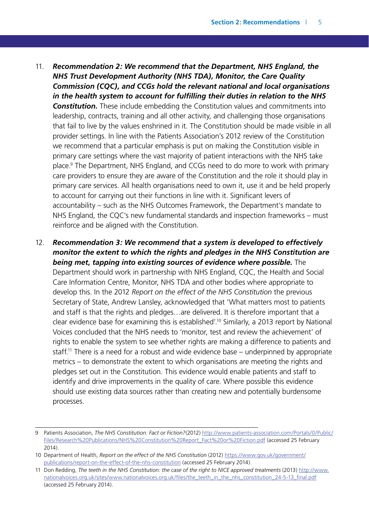- 11. *Recommendation 2: We recommend that the Department, NHS England, the NHS Trust Development Authority (NHS TDA), Monitor, the Care Quality Commission (CQC), and CCGs hold the relevant national and local organisations in the health system to account for fulfilling their duties in relation to the NHS Constitution.* These include embedding the Constitution values and commitments into leadership, contracts, training and all other activity, and challenging those organisations that fail to live by the values enshrined in it. The Constitution should be made visible in all provider settings. In line with the Patients Association's 2012 review of the Constitution we recommend that a particular emphasis is put on making the Constitution visible in primary care settings where the vast majority of patient interactions with the NHS take place.<sup>9</sup> The Department, NHS England, and CCGs need to do more to work with primary care providers to ensure they are aware of the Constitution and the role it should play in primary care services. All health organisations need to own it, use it and be held properly to account for carrying out their functions in line with it. Significant levers of accountability – such as the NHS Outcomes Framework, the Department's mandate to NHS England, the CQC's new fundamental standards and inspection frameworks – must reinforce and be aligned with the Constitution.
- 12. *Recommendation 3: We recommend that a system is developed to effectively monitor the extent to which the rights and pledges in the NHS Constitution are being met, tapping into existing sources of evidence where possible.* **The** Department should work in partnership with NHS England, CQC, the Health and Social Care Information Centre, Monitor, NHS TDA and other bodies where appropriate to develop this. In the 2012 *Report on the effect of the NHS Constitution* the previous Secretary of State, Andrew Lansley, acknowledged that 'What matters most to patients and staff is that the rights and pledges…are delivered. It is therefore important that a clear evidence base for examining this is established'.10 Similarly, a 2013 report by National Voices concluded that the NHS needs to 'monitor, test and review the achievement' of rights to enable the system to see whether rights are making a difference to patients and staff.11 There is a need for a robust and wide evidence base – underpinned by appropriate metrics – to demonstrate the extent to which organisations are meeting the rights and pledges set out in the Constitution. This evidence would enable patients and staff to identify and drive improvements in the quality of care. Where possible this evidence should use existing data sources rather than creating new and potentially burdensome processes.

<sup>9</sup> Patients Association, *The NHS Constitution: Fact or Fiction?*(2012) [http://www.patients-association.com/Portals/0/Public/](http://www.patients-association.com/Portals/0/Public/Files/Research%20Publications/NHS%20Constitution%20Report_Fact%20or%20Fiction.pdf) [Files/Research%20Publications/NHS%20Constitution%20Report\\_Fact%20or%20Fiction.pdf](http://www.patients-association.com/Portals/0/Public/Files/Research%20Publications/NHS%20Constitution%20Report_Fact%20or%20Fiction.pdf) (accessed 25 February 2014).

<sup>10</sup> Department of Health, *Report on the effect of the NHS Constitution* (2012) [https://www.gov.uk/government/](https://www.gov.uk/government/publications/report-on-the-effect-of-the-nhs-constitution) [publications/report-on-the-effect-of-the-nhs-constitution](https://www.gov.uk/government/publications/report-on-the-effect-of-the-nhs-constitution) (accessed 25 February 2014).

<sup>11</sup> Don Redding, *The teeth in the NHS Constitution: the case of the right to NICE approved treatments* (2013) [http://www.](http://www.nationalvoices.org.uk/sites/www.nationalvoices.org.uk/files/the_teeth_in_the_nhs_constitution_24-5-13_final.pdf) [nationalvoices.org.uk/sites/www.nationalvoices.org.uk/files/the\\_teeth\\_in\\_the\\_nhs\\_constitution\\_24-5-13\\_final.pdf](http://www.nationalvoices.org.uk/sites/www.nationalvoices.org.uk/files/the_teeth_in_the_nhs_constitution_24-5-13_final.pdf) (accessed 25 February 2014).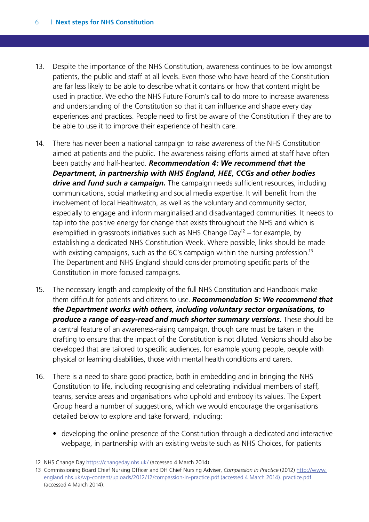- 13. Despite the importance of the NHS Constitution, awareness continues to be low amongst patients, the public and staff at all levels. Even those who have heard of the Constitution are far less likely to be able to describe what it contains or how that content might be used in practice. We echo the NHS Future Forum's call to do more to increase awareness and understanding of the Constitution so that it can influence and shape every day experiences and practices. People need to first be aware of the Constitution if they are to be able to use it to improve their experience of health care.
- 14. There has never been a national campaign to raise awareness of the NHS Constitution aimed at patients and the public. The awareness raising efforts aimed at staff have often been patchy and half-hearted. *Recommendation 4: We recommend that the Department, in partnership with NHS England, HEE, CCGs and other bodies drive and fund such a campaign.* The campaign needs sufficient resources, including communications, social marketing and social media expertise. It will benefit from the involvement of local Healthwatch, as well as the voluntary and community sector, especially to engage and inform marginalised and disadvantaged communities. It needs to tap into the positive energy for change that exists throughout the NHS and which is exemplified in grassroots initiatives such as NHS Change Day<sup>12</sup> – for example, by establishing a dedicated NHS Constitution Week. Where possible, links should be made with existing campaigns, such as the 6C's campaign within the nursing profession.<sup>13</sup> The Department and NHS England should consider promoting specific parts of the Constitution in more focused campaigns.
- 15. The necessary length and complexity of the full NHS Constitution and Handbook make them difficult for patients and citizens to use. *Recommendation 5: We recommend that the Department works with others, including voluntary sector organisations, to produce a range of easy-read and much shorter summary versions.* These should be a central feature of an awareness-raising campaign, though care must be taken in the drafting to ensure that the impact of the Constitution is not diluted. Versions should also be developed that are tailored to specific audiences, for example young people, people with physical or learning disabilities, those with mental health conditions and carers.
- 16. There is a need to share good practice, both in embedding and in bringing the NHS Constitution to life, including recognising and celebrating individual members of staff, teams, service areas and organisations who uphold and embody its values. The Expert Group heard a number of suggestions, which we would encourage the organisations detailed below to explore and take forward, including:
	- developing the online presence of the Constitution through a dedicated and interactive webpage, in partnership with an existing website such as NHS Choices, for patients

<sup>12</sup> NHS Change Day https://changeday.nhs.uk/ (accessed 4 March 2014).

<sup>13</sup> Commissioning Board Chief Nursing Officer and DH Chief Nursing Adviser, *Compassion in Practice* (2012) http://www. [england.nhs.uk/wp-content/uploads/2012/12/compassion-in-practice.pdf \(accessed 4 March 2014\). practice.pdf](http://www.england.nhs.uk/wp-content/uploads/2012/12/compassion-in-practice.pdf) (accessed 4 March 2014).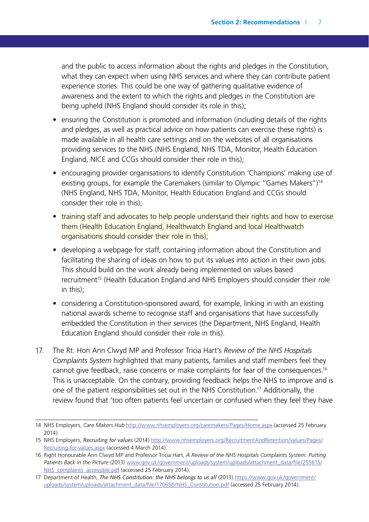and the public to access information about the rights and pledges in the Constitution, what they can expect when using NHS services and where they can contribute patient experience stories. This could be one way of gathering qualitative evidence of awareness and the extent to which the rights and pledges in the Constitution are being upheld (NHS England should consider its role in this);

- ensuring the Constitution is promoted and information (including details of the rights and pledges, as well as practical advice on how patients can exercise these rights) is made available in all health care settings and on the websites of all organisations providing services to the NHS (NHS England, NHS TDA, Monitor, Health Education England, NICE and CCGs should consider their role in this);
- encouraging provider organisations to identify Constitution 'Champions' making use of existing groups, for example the Caremakers (similar to Olympic "Games Makers")<sup>14</sup> (NHS England, NHS TDA, Monitor, Health Education England and CCGs should consider their role in this);
- training staff and advocates to help people understand their rights and how to exercise them (Health Education England, Healthwatch England and local Healthwatch organisations should consider their role in this);
- $\bullet$  developing a webpage for staff, containing information about the Constitution and facilitating the sharing of ideas on how to put its values into action in their own jobs. This should build on the work already being implemented on values based recruitment<sup>15</sup> (Health Education England and NHS Employers should consider their role in this);
- considering a Constitution-sponsored award, for example, linking in with an existing national awards scheme to recognise staff and organisations that have successfully embedded the Constitution in their services (the Department, NHS England, Health Education England should consider their role in this).
- 17. The Rt. Hon Ann Clwyd MP and Professor Tricia Hart's *Review of the NHS Hospitals Complaints System* highlighted that many patients, families and staff members feel they cannot give feedback, raise concerns or make complaints for fear of the consequences.<sup>16</sup> This is unacceptable. On the contrary, providing feedback helps the NHS to improve and is one of the patient responsibilities set out in the NHS Constitution.17 Additionally, the review found that 'too often patients feel uncertain or confused when they feel they have

<sup>14</sup> NHS Employers, *Care Makers Hub* <http://www.nhsemployers.org/caremakers/Pages/Home.aspx>(accessed 25 February 2014).

<sup>15</sup> NHS Employers, *Recruiting for values* [\(2014\) http://www.nhsemployers.org/RecruitmentAndRetention/values/Pages/](http://www.nhsemployers.org/RecruitmentAndRetention/values/Pages/Recruiting-for-values.aspx) Recruiting-for-values.aspx (accessed 4 March 2014).

<sup>16</sup> Right Honourable Ann Clwyd MP and Professor Tricia Hart, *A Review of the NHS Hospitals Complaints System: Putting*  Patients Back in the Picture [\(2013\) www.gov.uk/government/uploads/system/uploads/attachment\\_data/file/255615/](www.gov.uk/government/uploads/system/uploads/attachment_data/file/255615/NHS_complaints_accessible.pdf) NHS\_complaints\_accessible.pdf (accessed 25 February 2014).

<sup>17</sup> Department of Health, *The NHS Constitution: the NHS belongs to us all* (2013) https://www.gov.uk/government/ [uploads/system/uploads/attachment\\_data/file/170656/NHS\\_Constitution.pdf \(accessed 25 February 2014\).](https://www.gov.uk/government/uploads/system/uploads/attachment_data/file/170656/NHS_Constitution.pdf)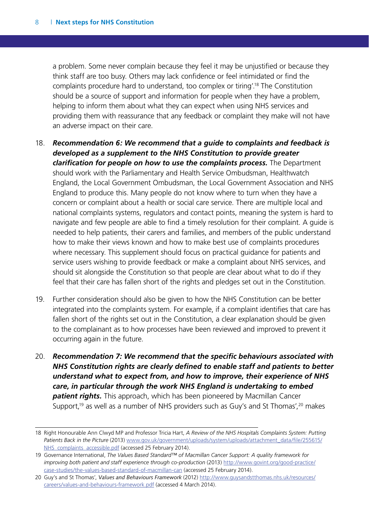a problem. Some never complain because they feel it may be unjustified or because they think staff are too busy. Others may lack confidence or feel intimidated or find the complaints procedure hard to understand, too complex or tiring'.18 The Constitution should be a source of support and information for people when they have a problem, helping to inform them about what they can expect when using NHS services and providing them with reassurance that any feedback or complaint they make will not have an adverse impact on their care.

- 18. *Recommendation 6: We recommend that a guide to complaints and feedback is developed as a supplement to the NHS Constitution to provide greater clarification for people on how to use the complaints process.* The Department should work with the Parliamentary and Health Service Ombudsman, Healthwatch England, the Local Government Ombudsman, the Local Government Association and NHS England to produce this. Many people do not know where to turn when they have a concern or complaint about a health or social care service. There are multiple local and national complaints systems, regulators and contact points, meaning the system is hard to navigate and few people are able to find a timely resolution for their complaint. A guide is needed to help patients, their carers and families, and members of the public understand how to make their views known and how to make best use of complaints procedures where necessary. This supplement should focus on practical guidance for patients and service users wishing to provide feedback or make a complaint about NHS services, and should sit alongside the Constitution so that people are clear about what to do if they feel that their care has fallen short of the rights and pledges set out in the Constitution.
- 19. Further consideration should also be given to how the NHS Constitution can be better integrated into the complaints system. For example, if a complaint identifies that care has fallen short of the rights set out in the Constitution, a clear explanation should be given to the complainant as to how processes have been reviewed and improved to prevent it occurring again in the future.
- 20. *Recommendation 7: We recommend that the specific behaviours associated with NHS Constitution rights are clearly defined to enable staff and patients to better understand what to expect from, and how to improve, their experience of NHS care, in particular through the work NHS England is undertaking to embed patient rights.* This approach, which has been pioneered by Macmillan Cancer Support,<sup>19</sup> as well as a number of NHS providers such as Guy's and St Thomas',<sup>20</sup> makes

<sup>18</sup> Right Honourable Ann Clwyd MP and Professor Tricia Hart, *A Review of the NHS Hospitals Complaints System: Putting Patients Back in the Picture* (2013) [www.gov.uk/government/uploads/system/uploads/attachment\\_data/file/255615/](http://www.gov.uk/government/uploads/system/uploads/attachment_data/file/255615/NHS_complaints_accessible.pdf) [NHS\\_complaints\\_accessible.pdf](http://www.gov.uk/government/uploads/system/uploads/attachment_data/file/255615/NHS_complaints_accessible.pdf) (accessed 25 February 2014).

<sup>19</sup> Governance International, *The Values Based Standard™ of Macmillan Cancer Support: A quality framework for improving both patient and staff experience through co-production* (2013) [http://www.govint.org/good-practice/](http://www.govint.org/good-practice/case-studies/the-values-based-standard-of-macmillan-cancer-support/) [case-studies/the-values-based-standard-of-macmillan-can](http://www.govint.org/good-practice/case-studies/the-values-based-standard-of-macmillan-cancer-support/) (accessed 25 February 2014).

<sup>20</sup> Guy's and St Thomas', *Values and Behaviours Framework* (2012) http://www.guysandstthomas.nhs.uk/resources/ [careers/values-and-behaviours-framework.pdf \(accessed 4 March 2014\).](http://www.guysandstthomas.nhs.uk/resources/careers/values-and-behaviours-framework.pdf)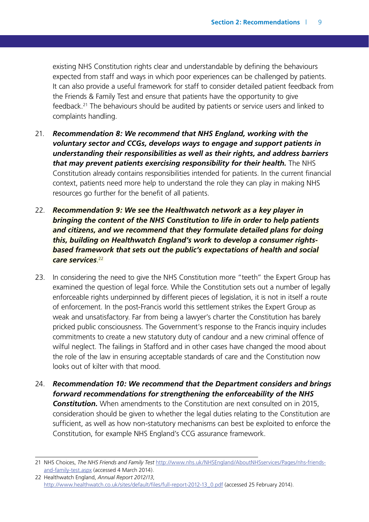existing NHS Constitution rights clear and understandable by defining the behaviours expected from staff and ways in which poor experiences can be challenged by patients. It can also provide a useful framework for staff to consider detailed patient feedback from the Friends & Family Test and ensure that patients have the opportunity to give feedback.<sup>21</sup> The behaviours should be audited by patients or service users and linked to complaints handling.

- 21. *Recommendation 8: We recommend that NHS England, working with the voluntary sector and CCGs, develops ways to engage and support patients in understanding their responsibilities as well as their rights, and address barriers that may prevent patients exercising responsibility for their health.* The NHS Constitution already contains responsibilities intended for patients. In the current financial context, patients need more help to understand the role they can play in making NHS resources go further for the benefit of all patients.
- 22. *Recommendation 9: We see the Healthwatch network as a key player in bringing the content of the NHS Constitution to life in order to help patients and citizens, and we recommend that they formulate detailed plans for doing this, building on Healthwatch England's work to develop a consumer rightsbased framework that sets out the public's expectations of health and social care services*. 22
- 23. In considering the need to give the NHS Constitution more "teeth" the Expert Group has examined the question of legal force. While the Constitution sets out a number of legally enforceable rights underpinned by different pieces of legislation, it is not in itself a route of enforcement. In the post-Francis world this settlement strikes the Expert Group as weak and unsatisfactory. Far from being a lawyer's charter the Constitution has barely pricked public consciousness. The Government's response to the Francis inquiry includes commitments to create a new statutory duty of candour and a new criminal offence of wilful neglect. The failings in Stafford and in other cases have changed the mood about the role of the law in ensuring acceptable standards of care and the Constitution now looks out of kilter with that mood.
- 24. *Recommendation 10: We recommend that the Department considers and brings forward recommendations for strengthening the enforceability of the NHS*  **Constitution.** When amendments to the Constitution are next consulted on in 2015, consideration should be given to whether the legal duties relating to the Constitution are sufficient, as well as how non-statutory mechanisms can best be exploited to enforce the Constitution, for example NHS England's CCG assurance framework.

<sup>21</sup> NHS Choices, *The NHS Friends and Family Test* http://www.nhs.uk/NHSEngland/AboutNHSservices/Pages/nhs-friendsand-family-test.aspx (accessed 4 March 2014).

<sup>22</sup> Healthwatch England, *Annual Report 2012/13*, [http://www.healthwatch.co.uk/sites/default/files/full-report-2012-13\\_0.pdf](http://www.healthwatch.co.uk/sites/default/files/full-report-2012-13_0.pdf) (accessed 25 February 2014).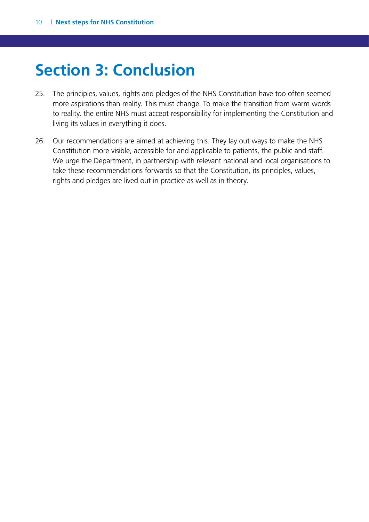### <span id="page-10-0"></span>**Section 3: Conclusion**

- 25. The principles, values, rights and pledges of the NHS Constitution have too often seemed more aspirations than reality. This must change. To make the transition from warm words to reality, the entire NHS must accept responsibility for implementing the Constitution and living its values in everything it does.
- 26. Our recommendations are aimed at achieving this. They lay out ways to make the NHS Constitution more visible, accessible for and applicable to patients, the public and staff. We urge the Department, in partnership with relevant national and local organisations to take these recommendations forwards so that the Constitution, its principles, values, rights and pledges are lived out in practice as well as in theory.